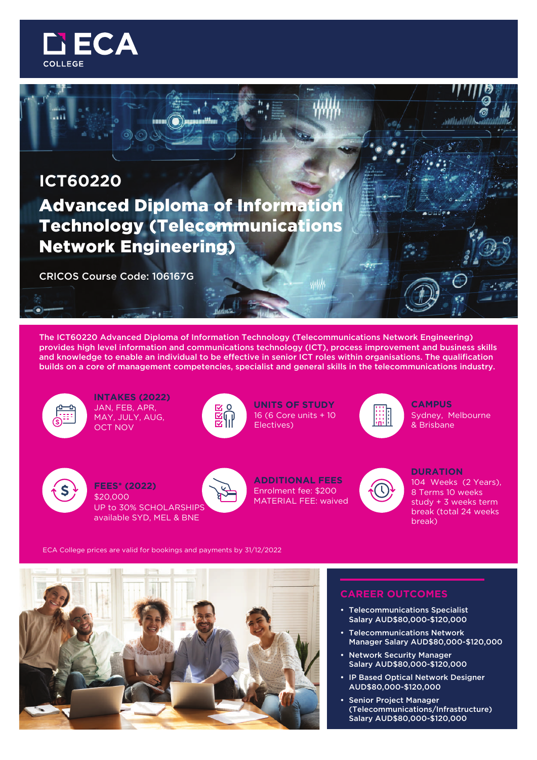

# **ICT60220** Advanced Diploma of Information Technology (Telecommunications Network Engineering)

CRICOS Course Code: 106167G

The ICT60220 Advanced Diploma of Information Technology (Telecommunications Network Engineering) provides high level information and communications technology (ICT), process improvement and business skills and knowledge to enable an individual to be effective in senior ICT roles within organisations. The qualification builds on a core of management competencies, specialist and general skills in the telecommunications industry.



**INTAKES (2022)** JAN, FEB, APR, MAY, JULY, AUG, OCT NOV



**UNITS OF STUDY CAMPUS** 16 (6 Core units + 10 Electives)

₩₩



Sydney, Melbourne & Brisbane



**FEES\* (2022)** \$20,000 UP to 30% SCHOLARSHIPS available SYD, MEL & BNE



**ADDITIONAL FEES** Enrolment fee: \$200 MATERIAL FEE: waived

### **DURATION**

104 Weeks (2 Years), 8 Terms 10 weeks study + 3 weeks term break (total 24 weeks break)

ECA College prices are valid for bookings and payments by 31/12/2022



# **CAREER OUTCOMES**

- Telecommunications Specialist Salary AUD\$80,000-\$120,000
- Telecommunications Network Manager Salary AUD\$80,000-\$120,000
- Network Security Manager Salary AUD\$80,000-\$120,000
- IP Based Optical Network Designer AUD\$80,000-\$120,000
- Senior Project Manager (Telecommunications/Infrastructure) Salary AUD\$80,000-\$120,000